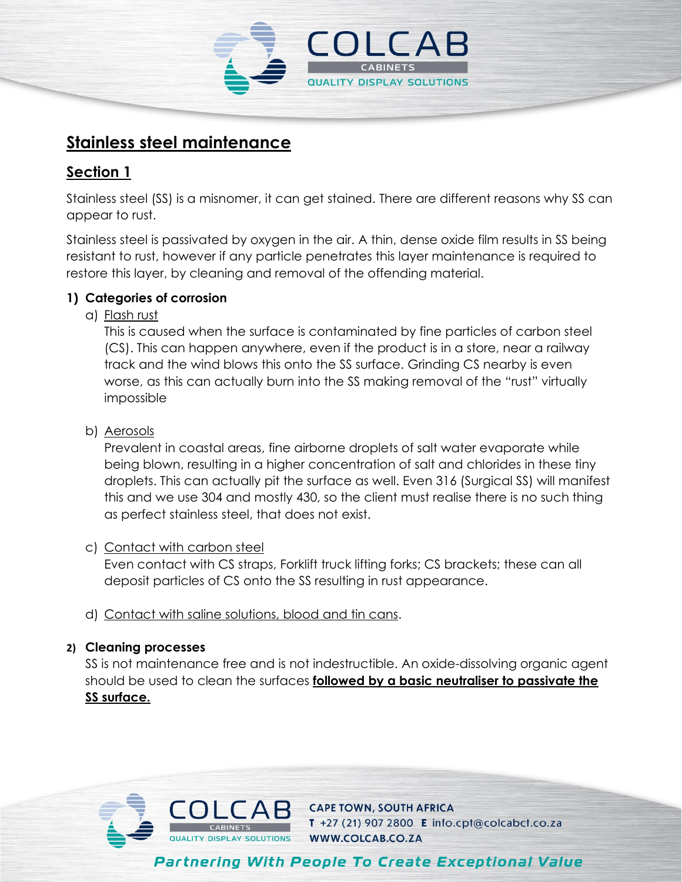

# **Stainless steel maintenance**

# **Section 1**

Stainless steel (SS) is a misnomer, it can get stained. There are different reasons why SS can appear to rust.

Stainless steel is passivated by oxygen in the air. A thin, dense oxide film results in SS being resistant to rust, however if any particle penetrates this layer maintenance is required to restore this layer, by cleaning and removal of the offending material.

## **1) Categories of corrosion**

a) Flash rust

This is caused when the surface is contaminated by fine particles of carbon steel (CS). This can happen anywhere, even if the product is in a store, near a railway track and the wind blows this onto the SS surface. Grinding CS nearby is even worse, as this can actually burn into the SS making removal of the "rust" virtually impossible

### b) Aerosols

Prevalent in coastal areas, fine airborne droplets of salt water evaporate while being blown, resulting in a higher concentration of salt and chlorides in these tiny droplets. This can actually pit the surface as well. Even 316 (Surgical SS) will manifest this and we use 304 and mostly 430, so the client must realise there is no such thing as perfect stainless steel, that does not exist.

#### c) Contact with carbon steel

Even contact with CS straps, Forklift truck lifting forks; CS brackets; these can all deposit particles of CS onto the SS resulting in rust appearance.

d) Contact with saline solutions, blood and tin cans.

#### **2) Cleaning processes**

SS is not maintenance free and is not indestructible. An oxide-dissolving organic agent should be used to clean the surfaces **followed by a basic neutraliser to passivate the SS surface.** 

**Partnering With People To Create Exceptional Value** 



**CAPE TOWN, SOUTH AFRICA** T +27 (21) 907 2800 E info.cpt@colcabct.co.za WWW.COLCAB.CO.ZA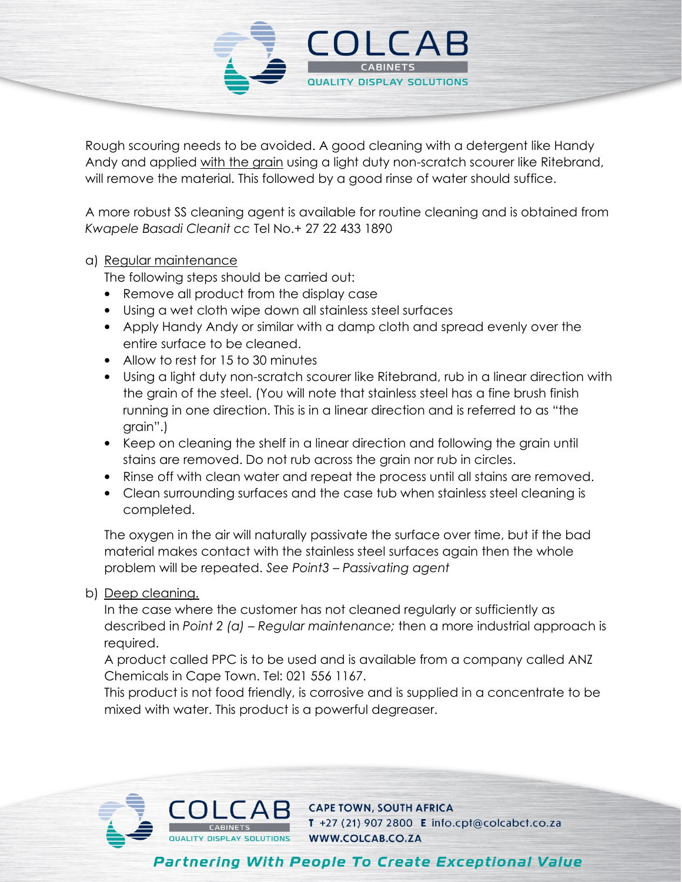

Rough scouring needs to be avoided. A good cleaning with a detergent like Handy Andy and applied with the grain using a light duty non-scratch scourer like Ritebrand, will remove the material. This followed by a good rinse of water should suffice.

A more robust SS cleaning agent is available for routine cleaning and is obtained from *Kwapele Basadi Cleanit cc* Tel No.+ 27 22 433 1890

#### a) Regular maintenance

The following steps should be carried out:

- Remove all product from the display case
- Using a wet cloth wipe down all stainless steel surfaces
- Apply Handy Andy or similar with a damp cloth and spread evenly over the entire surface to be cleaned.
- Allow to rest for 15 to 30 minutes
- Using a light duty non-scratch scourer like Ritebrand, rub in a linear direction with the grain of the steel. (You will note that stainless steel has a fine brush finish running in one direction. This is in a linear direction and is referred to as "the grain".)
- Keep on cleaning the shelf in a linear direction and following the grain until stains are removed. Do not rub across the grain nor rub in circles.
- Rinse off with clean water and repeat the process until all stains are removed.
- Clean surrounding surfaces and the case tub when stainless steel cleaning is completed.

The oxygen in the air will naturally passivate the surface over time, but if the bad material makes contact with the stainless steel surfaces again then the whole problem will be repeated. *See Point3 – Passivating agent*

#### b) Deep cleaning.

In the case where the customer has not cleaned regularly or sufficiently as described in *Point 2 (a) – Regular maintenance;* then a more industrial approach is required.

A product called PPC is to be used and is available from a company called ANZ Chemicals in Cape Town. Tel: 021 556 1167.

This product is not food friendly, is corrosive and is supplied in a concentrate to be mixed with water. This product is a powerful degreaser.

**Partnering With People To Create Exceptional Value** 



**CAPE TOWN, SOUTH AFRICA** T +27 (21) 907 2800 E info.cpt@colcabct.co.za WWW.COLCAB.CO.ZA